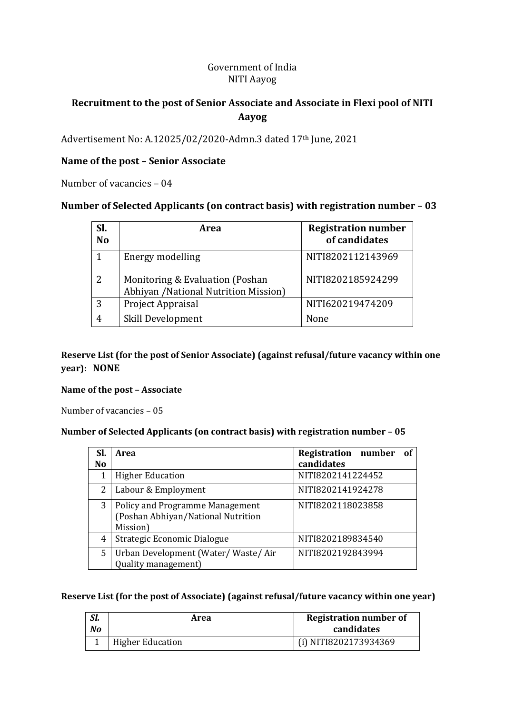## Government of India NITI Aayog

# **Recruitment to the post of Senior Associate and Associate in Flexi pool of NITI Aayog**

Advertisement No: A.12025/02/2020-Admn.3 dated 17th June, 2021

### **Name of the post – Senior Associate**

Number of vacancies – 04

## **Number of Selected Applicants (on contract basis) with registration number** – **03**

| Sl.<br><b>No</b> | Area                                                                     | <b>Registration number</b><br>of candidates |
|------------------|--------------------------------------------------------------------------|---------------------------------------------|
| 1                | Energy modelling                                                         | NITI8202112143969                           |
| 2                | Monitoring & Evaluation (Poshan<br>Abhiyan / National Nutrition Mission) | NITI8202185924299                           |
| 3                | Project Appraisal                                                        | NITI620219474209                            |
|                  | Skill Development                                                        | None                                        |

### **Reserve List (for the post of Senior Associate) (against refusal/future vacancy within one year): NONE**

#### **Name of the post – Associate**

Number of vacancies – 05

#### **Number of Selected Applicants (on contract basis) with registration number – 05**

| Sl.            | Area                                   | <b>Registration number</b><br>- of |
|----------------|----------------------------------------|------------------------------------|
| N <sub>0</sub> |                                        | candidates                         |
|                | <b>Higher Education</b>                | NITI8202141224452                  |
| 2              | Labour & Employment                    | NITI8202141924278                  |
| 3              | <b>Policy and Programme Management</b> | NITI8202118023858                  |
|                | (Poshan Abhiyan/National Nutrition     |                                    |
|                | Mission)                               |                                    |
| 4              | Strategic Economic Dialogue            | NITI8202189834540                  |
| 5              | Urban Development (Water/Waste/Air     | NITI8202192843994                  |
|                | Quality management)                    |                                    |

#### **Reserve List (for the post of Associate) (against refusal/future vacancy within one year)**

| SI.<br>No | Area                    | <b>Registration number of</b><br>candidates |
|-----------|-------------------------|---------------------------------------------|
|           | <b>Higher Education</b> | (i) NITI8202173934369                       |